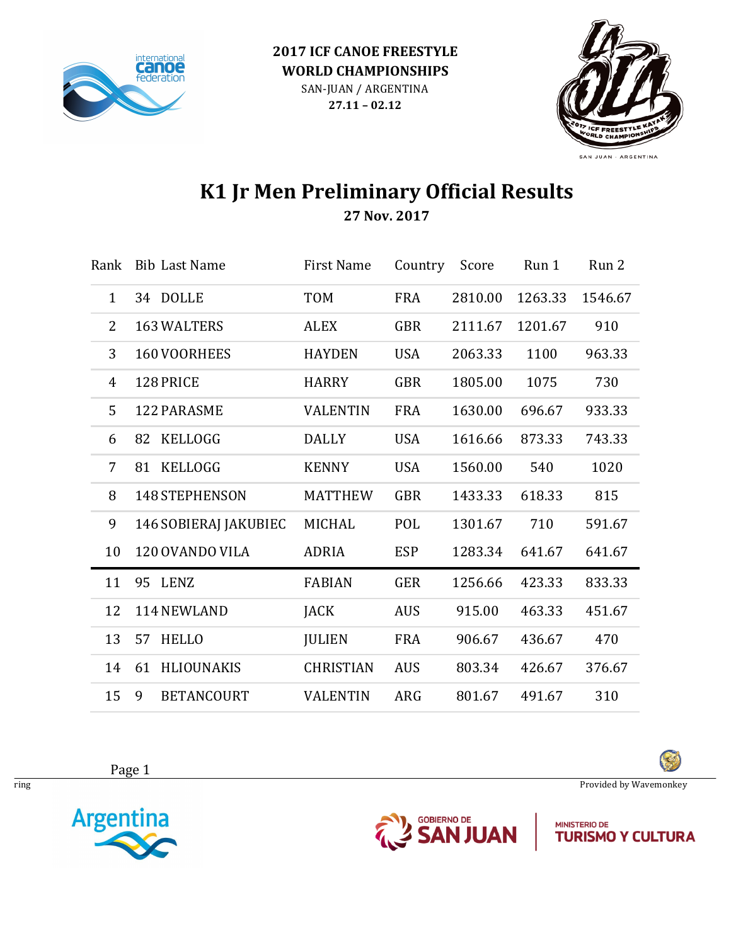



## **K1 Jr Men Preliminary Official Results 27 Nov. 2017**

|                | Rank Bib Last Name      | <b>First Name</b> | Country    | Score   | Run 1   | Run 2   |
|----------------|-------------------------|-------------------|------------|---------|---------|---------|
| $\mathbf{1}$   | 34 DOLLE                | <b>TOM</b>        | <b>FRA</b> | 2810.00 | 1263.33 | 1546.67 |
| $\overline{2}$ | <b>163 WALTERS</b>      | <b>ALEX</b>       | <b>GBR</b> | 2111.67 | 1201.67 | 910     |
| 3              | 160 VOORHEES            | <b>HAYDEN</b>     | <b>USA</b> | 2063.33 | 1100    | 963.33  |
| 4              | 128 PRICE               | <b>HARRY</b>      | <b>GBR</b> | 1805.00 | 1075    | 730     |
| 5              | <b>122 PARASME</b>      | <b>VALENTIN</b>   | <b>FRA</b> | 1630.00 | 696.67  | 933.33  |
| 6              | 82 KELLOGG              | <b>DALLY</b>      | <b>USA</b> | 1616.66 | 873.33  | 743.33  |
| 7              | KELLOGG<br>81           | <b>KENNY</b>      | <b>USA</b> | 1560.00 | 540     | 1020    |
| 8              | <b>148 STEPHENSON</b>   | <b>MATTHEW</b>    | <b>GBR</b> | 1433.33 | 618.33  | 815     |
| 9              | 146 SOBIERAJ JAKUBIEC   | <b>MICHAL</b>     | POL        | 1301.67 | 710     | 591.67  |
| 10             | 120 OVANDO VILA         | <b>ADRIA</b>      | <b>ESP</b> | 1283.34 | 641.67  | 641.67  |
| 11             | 95 LENZ                 | <b>FABIAN</b>     | <b>GER</b> | 1256.66 | 423.33  | 833.33  |
| 12             | 114 NEWLAND             | <b>JACK</b>       | <b>AUS</b> | 915.00  | 463.33  | 451.67  |
| 13             | 57 HELLO                | <b>JULIEN</b>     | <b>FRA</b> | 906.67  | 436.67  | 470     |
| 14             | <b>HLIOUNAKIS</b><br>61 | <b>CHRISTIAN</b>  | <b>AUS</b> | 803.34  | 426.67  | 376.67  |
| 15             | 9<br><b>BETANCOURT</b>  | <b>VALENTIN</b>   | <b>ARG</b> | 801.67  | 491.67  | 310     |

**Scotting** Provided by Wavemonkey

Page 1